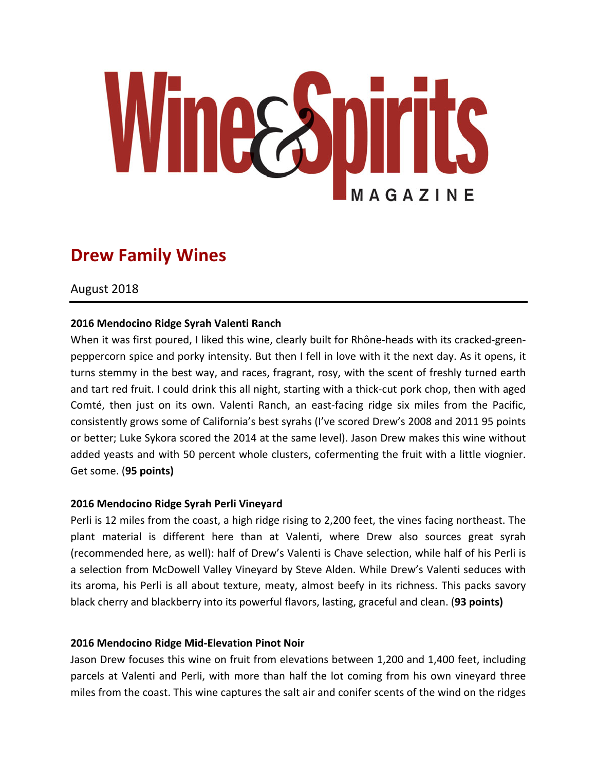

# **Drew Family Wines**

August 2018

## **2016 Mendocino Ridge Syrah Valenti Ranch**

When it was first poured, I liked this wine, clearly built for Rhône-heads with its cracked-greenpeppercorn spice and porky intensity. But then I fell in love with it the next day. As it opens, it turns stemmy in the best way, and races, fragrant, rosy, with the scent of freshly turned earth and tart red fruit. I could drink this all night, starting with a thick-cut pork chop, then with aged Comté, then just on its own. Valenti Ranch, an east-facing ridge six miles from the Pacific, consistently grows some of California's best syrahs (I've scored Drew's 2008 and 2011 95 points or better; Luke Sykora scored the 2014 at the same level). Jason Drew makes this wine without added yeasts and with 50 percent whole clusters, cofermenting the fruit with a little viognier. Get some. (**95 points)**

## **2016 Mendocino Ridge Syrah Perli Vineyard**

Perli is 12 miles from the coast, a high ridge rising to 2,200 feet, the vines facing northeast. The plant material is different here than at Valenti, where Drew also sources great syrah (recommended here, as well): half of Drew's Valenti is Chave selection, while half of his Perli is a selection from McDowell Valley Vineyard by Steve Alden. While Drew's Valenti seduces with its aroma, his Perli is all about texture, meaty, almost beefy in its richness. This packs savory black cherry and blackberry into its powerful flavors, lasting, graceful and clean. (93 points)

## **2016 Mendocino Ridge Mid-Elevation Pinot Noir**

Jason Drew focuses this wine on fruit from elevations between 1,200 and 1,400 feet, including parcels at Valenti and Perli, with more than half the lot coming from his own vineyard three miles from the coast. This wine captures the salt air and conifer scents of the wind on the ridges